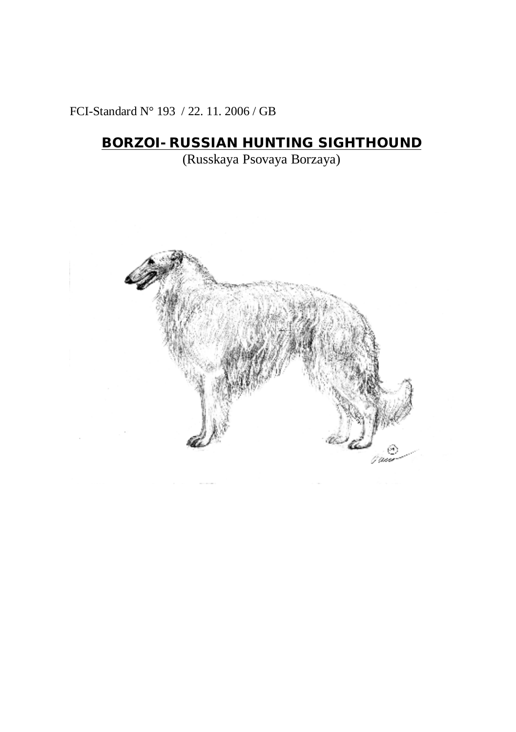FCI-Standard N° 193 / 22. 11. 2006 / GB

# **BORZOI- RUSSIAN HUNTING SIGHTHOUND**

(Russkaya Psovaya Borzaya)

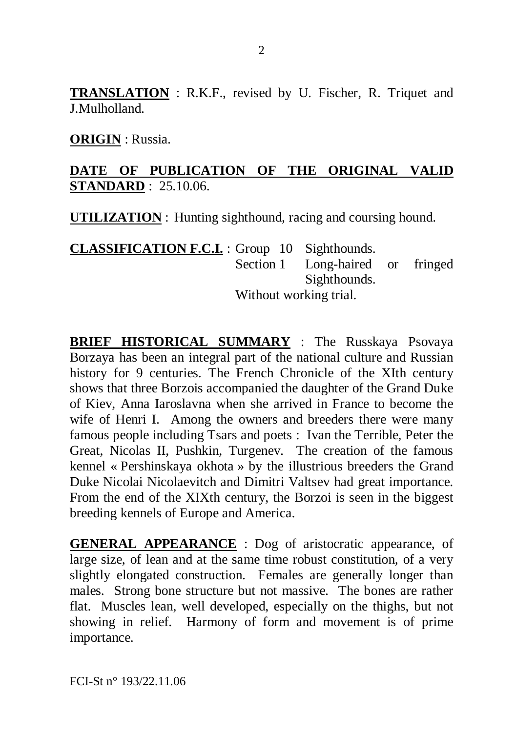**TRANSLATION** : R.K.F., revised by U. Fischer, R. Triquet and J.Mulholland.

**ORIGIN** : Russia.

#### **DATE OF PUBLICATION OF THE ORIGINAL VALID STANDARD** : 25.10.06.

**UTILIZATION** : Hunting sighthound, racing and coursing hound.

**CLASSIFICATION F.C.I.** : Group 10 Sighthounds. Section 1 Long-haired or fringed Sighthounds. Without working trial.

**BRIEF HISTORICAL SUMMARY** : The Russkaya Psovaya Borzaya has been an integral part of the national culture and Russian history for 9 centuries. The French Chronicle of the XIth century shows that three Borzois accompanied the daughter of the Grand Duke of Kiev, Anna Iaroslavna when she arrived in France to become the wife of Henri I. Among the owners and breeders there were many famous people including Tsars and poets : Ivan the Terrible, Peter the Great, Nicolas II, Pushkin, Turgenev. The creation of the famous kennel « Pershinskaya okhota » by the illustrious breeders the Grand Duke Nicolai Nicolaevitch and Dimitri Valtsev had great importance. From the end of the XIXth century, the Borzoi is seen in the biggest breeding kennels of Europe and America.

**GENERAL APPEARANCE** : Dog of aristocratic appearance, of large size, of lean and at the same time robust constitution, of a very slightly elongated construction. Females are generally longer than males. Strong bone structure but not massive. The bones are rather flat. Muscles lean, well developed, especially on the thighs, but not showing in relief.Harmony of form and movement is of prime importance.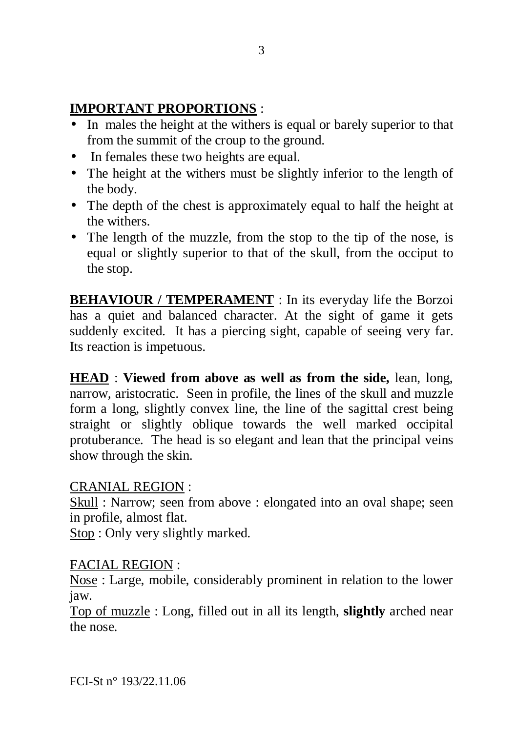#### **IMPORTANT PROPORTIONS** :

- In males the height at the withers is equal or barely superior to that from the summit of the croup to the ground.
- In females these two heights are equal.
- The height at the withers must be slightly inferior to the length of the body.
- The depth of the chest is approximately equal to half the height at the withers.
- The length of the muzzle, from the stop to the tip of the nose, is equal or slightly superior to that of the skull, from the occiput to the stop.

**BEHAVIOUR / TEMPERAMENT** : In its everyday life the Borzoi has a quiet and balanced character. At the sight of game it gets suddenly excited. It has a piercing sight, capable of seeing very far. Its reaction is impetuous.

**HEAD** : **Viewed from above as well as from the side,** lean, long, narrow, aristocratic. Seen in profile, the lines of the skull and muzzle form a long, slightly convex line, the line of the sagittal crest being straight or slightly oblique towards the well marked occipital protuberance. The head is so elegant and lean that the principal veins show through the skin.

#### CRANIAL REGION :

Skull : Narrow; seen from above : elongated into an oval shape; seen in profile, almost flat.

Stop : Only very slightly marked.

#### FACIAL REGION :

Nose : Large, mobile, considerably prominent in relation to the lower jaw.

Top of muzzle : Long, filled out in all its length, **slightly** arched near the nose.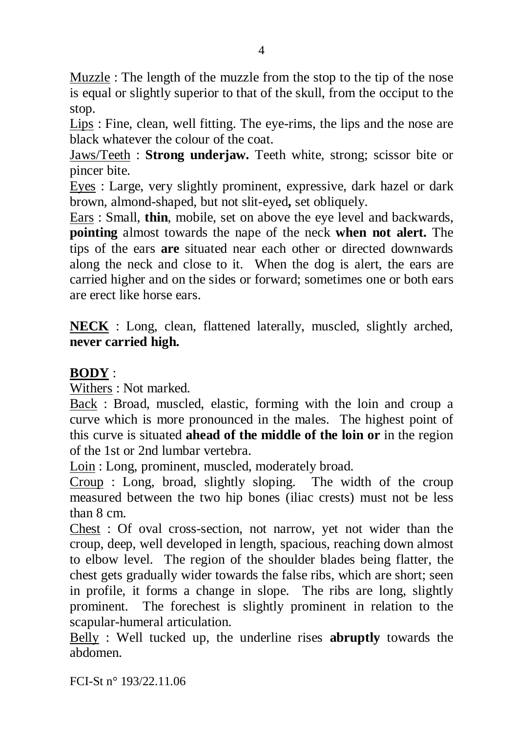Muzzle : The length of the muzzle from the stop to the tip of the nose is equal or slightly superior to that of the skull, from the occiput to the stop.

Lips : Fine, clean, well fitting. The eye-rims, the lips and the nose are black whatever the colour of the coat.

Jaws/Teeth : **Strong underjaw.** Teeth white, strong; scissor bite or pincer bite.

Eyes : Large, very slightly prominent, expressive, dark hazel or dark brown, almond-shaped, but not slit-eyed**,** set obliquely.

Ears : Small, **thin**, mobile, set on above the eye level and backwards, **pointing** almost towards the nape of the neck **when not alert.** The tips of the ears **are** situated near each other or directed downwards along the neck and close to it. When the dog is alert, the ears are carried higher and on the sides or forward; sometimes one or both ears are erect like horse ears.

**NECK** : Long, clean, flattened laterally, muscled, slightly arched, **never carried high.** 

#### **BODY** :

Withers : Not marked.

Back : Broad, muscled, elastic, forming with the loin and croup a curve which is more pronounced in the males. The highest point of this curve is situated **ahead of the middle of the loin or** in the region of the 1st or 2nd lumbar vertebra.

Loin : Long, prominent, muscled, moderately broad.

Croup : Long, broad, slightly sloping. The width of the croup measured between the two hip bones (iliac crests) must not be less than 8 cm.

Chest : Of oval cross-section, not narrow, yet not wider than the croup, deep, well developed in length, spacious, reaching down almost to elbow level. The region of the shoulder blades being flatter, the chest gets gradually wider towards the false ribs, which are short; seen in profile, it forms a change in slope. The ribs are long, slightly prominent. The forechest is slightly prominent in relation to the scapular-humeral articulation.

Belly : Well tucked up, the underline rises **abruptly** towards the abdomen.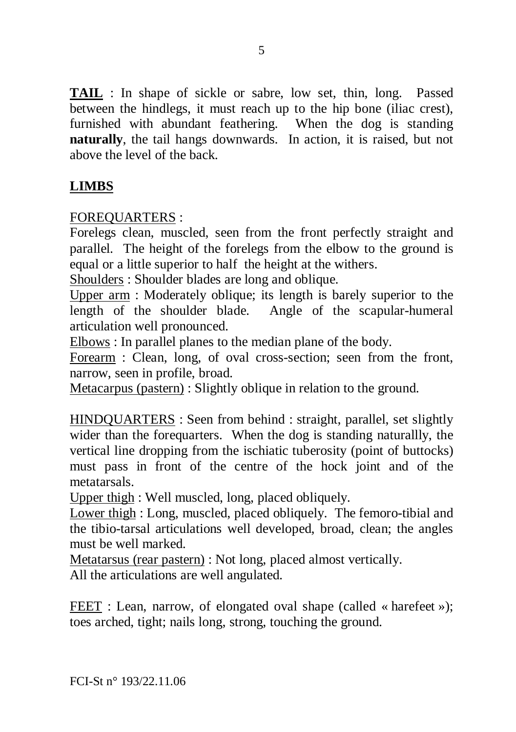**TAIL** : In shape of sickle or sabre, low set, thin, long. Passed between the hindlegs, it must reach up to the hip bone (iliac crest), furnished with abundant feathering. When the dog is standing **naturally**, the tail hangs downwards. In action, it is raised, but not above the level of the back.

## **LIMBS**

FOREQUARTERS :

Forelegs clean, muscled, seen from the front perfectly straight and parallel. The height of the forelegs from the elbow to the ground is equal or a little superior to half the height at the withers.

Shoulders : Shoulder blades are long and oblique.

Upper arm : Moderately oblique; its length is barely superior to the length of the shoulder blade. Angle of the scapular-humeral articulation well pronounced.

Elbows : In parallel planes to the median plane of the body.

Forearm : Clean, long, of oval cross-section; seen from the front, narrow, seen in profile, broad.

Metacarpus (pastern) : Slightly oblique in relation to the ground.

HINDQUARTERS : Seen from behind : straight, parallel, set slightly wider than the forequarters. When the dog is standing naturallly, the vertical line dropping from the ischiatic tuberosity (point of buttocks) must pass in front of the centre of the hock joint and of the metatarsals.

Upper thigh : Well muscled, long, placed obliquely.

Lower thigh : Long, muscled, placed obliquely. The femoro-tibial and the tibio-tarsal articulations well developed, broad, clean; the angles must be well marked.

Metatarsus (rear pastern) : Not long, placed almost vertically.

All the articulations are well angulated.

FEET : Lean, narrow, of elongated oval shape (called « harefeet »); toes arched, tight; nails long, strong, touching the ground.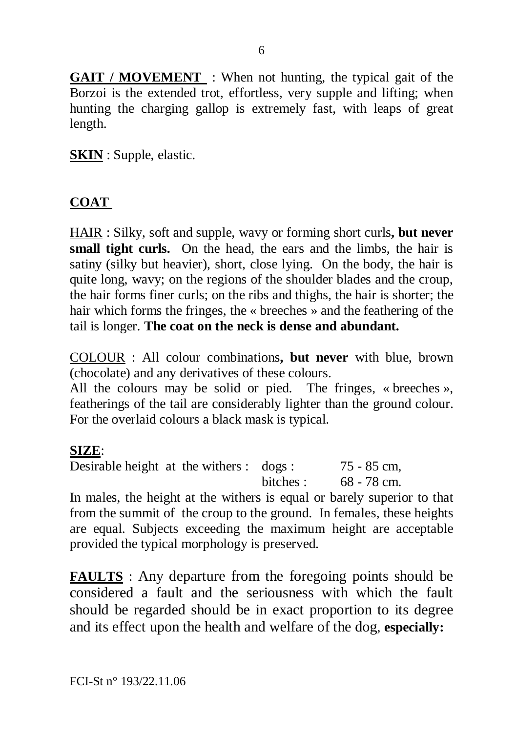**GAIT / MOVEMENT** : When not hunting, the typical gait of the Borzoi is the extended trot, effortless, very supple and lifting; when hunting the charging gallop is extremely fast, with leaps of great length.

**SKIN** : Supple, elastic.

#### **COAT**

HAIR : Silky, soft and supple, wavy or forming short curls**, but never small tight curls.** On the head, the ears and the limbs, the hair is satiny (silky but heavier), short, close lying. On the body, the hair is quite long, wavy; on the regions of the shoulder blades and the croup, the hair forms finer curls; on the ribs and thighs, the hair is shorter; the hair which forms the fringes, the « breeches » and the feathering of the tail is longer. **The coat on the neck is dense and abundant.** 

COLOUR : All colour combinations**, but never** with blue, brown (chocolate) and any derivatives of these colours.

All the colours may be solid or pied. The fringes, « breeches », featherings of the tail are considerably lighter than the ground colour. For the overlaid colours a black mask is typical.

#### **SIZE**:

Desirable height at the withers : dogs : 75 - 85 cm, bitches : 68 - 78 cm.

In males, the height at the withers is equal or barely superior to that from the summit of the croup to the ground. In females, these heights are equal. Subjects exceeding the maximum height are acceptable provided the typical morphology is preserved.

**FAULTS** : Any departure from the foregoing points should be considered a fault and the seriousness with which the fault should be regarded should be in exact proportion to its degree and its effect upon the health and welfare of the dog, **especially:**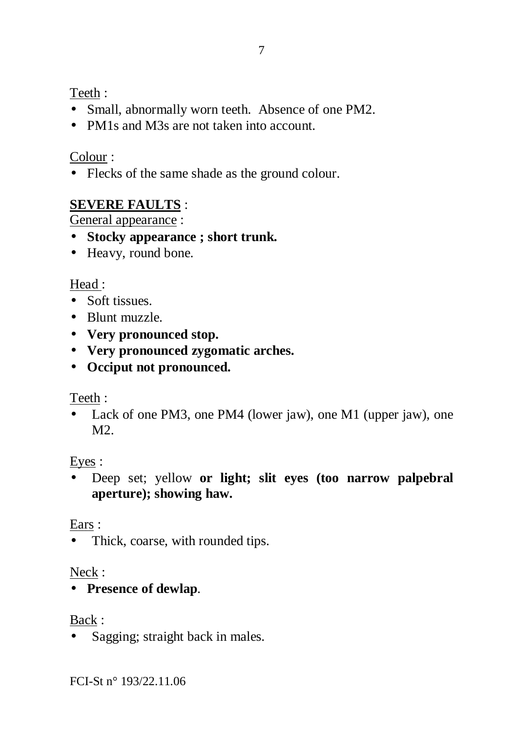Teeth :

- Small, abnormally worn teeth. Absence of one PM2.
- PM1s and M3s are not taken into account.

## Colour :

• Flecks of the same shade as the ground colour.

# **SEVERE FAULTS** :

General appearance :

- **Stocky appearance ; short trunk.**
- Heavy, round bone.

# Head :

- Soft tissues
- Blunt muzzle.
- **Very pronounced stop.**
- **Very pronounced zygomatic arches.**
- **Occiput not pronounced.**

## Teeth :

• Lack of one PM3, one PM4 (lower jaw), one M1 (upper jaw), one  $M<sup>2</sup>$ 

## Eyes :

• Deep set; yellow **or light; slit eyes (too narrow palpebral aperture); showing haw.**

## Ears :

• Thick, coarse, with rounded tips.

## Neck :

• **Presence of dewlap**.

## Back :

• Sagging; straight back in males.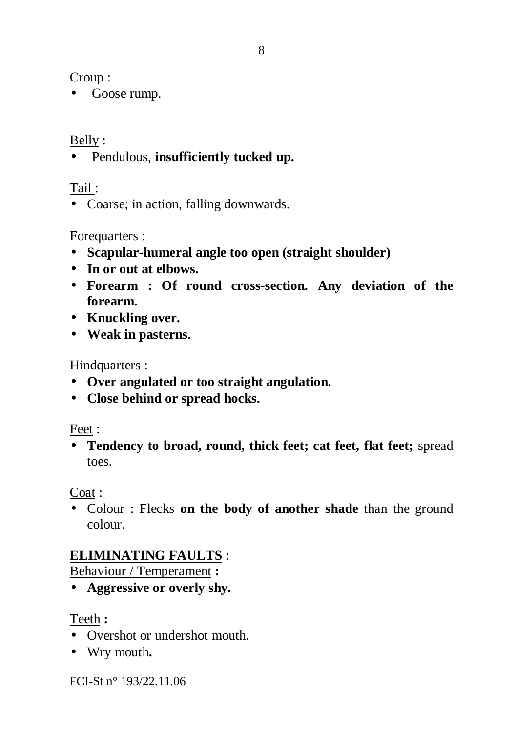Croup :

• Goose rump.

## Belly :

• Pendulous, **insufficiently tucked up.** 

Tail :

• Coarse: in action, falling downwards.

## Forequarters :

- **Scapular-humeral angle too open (straight shoulder)**
- **In or out at elbows.**
- **Forearm : Of round cross-section. Any deviation of the forearm.**
- **Knuckling over.**
- **Weak in pasterns.**

### Hindquarters :

- **Over angulated or too straight angulation.**
- **Close behind or spread hocks.**

#### Feet :

• **Tendency to broad, round, thick feet; cat feet, flat feet;** spread toes.

Coat :

• Colour : Flecks **on the body of another shade** than the ground colour.

# **ELIMINATING FAULTS** :

Behaviour / Temperament **:** 

• **Aggressive or overly shy.** 

Teeth **:** 

- Overshot or undershot mouth.
- Wry mouth**.**